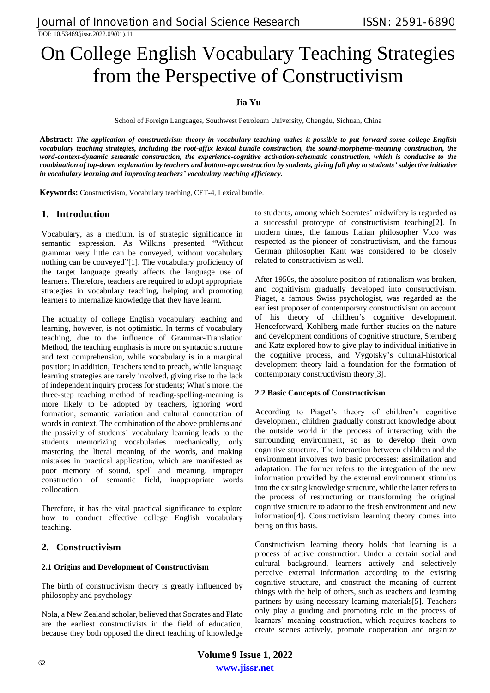DOI: 10.53469/jissr.2022.09(01).11

# On College English Vocabulary Teaching Strategies from the Perspective of Constructivism

## **Jia Yu**

School of Foreign Languages, Southwest Petroleum University, Chengdu, Sichuan, China

**Abstract:** *The application of constructivism theory in vocabulary teaching makes it possible to put forward some college English vocabulary teaching strategies, including the root-affix lexical bundle construction, the sound-morpheme-meaning construction, the word-context-dynamic semantic construction, the experience-cognitive activation-schematic construction, which is conducive to the combination of top-down explanation by teachers and bottom-up construction by students, giving full play to students' subjective initiative in vocabulary learning and improving teachers' vocabulary teaching efficiency.* 

**Keywords:** Constructivism, Vocabulary teaching, CET-4, Lexical bundle.

## **1. Introduction**

Vocabulary, as a medium, is of strategic significance in semantic expression. As Wilkins presented "Without grammar very little can be conveyed, without vocabulary nothing can be conveyed"[1]. The vocabulary proficiency of the target language greatly affects the language use of learners. Therefore, teachers are required to adopt appropriate strategies in vocabulary teaching, helping and promoting learners to internalize knowledge that they have learnt.

The actuality of college English vocabulary teaching and learning, however, is not optimistic. In terms of vocabulary teaching, due to the influence of Grammar-Translation Method, the teaching emphasis is more on syntactic structure and text comprehension, while vocabulary is in a marginal position; In addition, Teachers tend to preach, while language learning strategies are rarely involved, giving rise to the lack of independent inquiry process for students; What's more, the three-step teaching method of reading-spelling-meaning is more likely to be adopted by teachers, ignoring word formation, semantic variation and cultural connotation of words in context. The combination of the above problems and the passivity of students' vocabulary learning leads to the students memorizing vocabularies mechanically, only mastering the literal meaning of the words, and making mistakes in practical application, which are manifested as poor memory of sound, spell and meaning, improper construction of semantic field, inappropriate words collocation.

Therefore, it has the vital practical significance to explore how to conduct effective college English vocabulary teaching.

## **2. Constructivism**

#### **2.1 Origins and Development of Constructivism**

The birth of constructivism theory is greatly influenced by philosophy and psychology.

Nola, a New Zealand scholar, believed that Socrates and Plato are the earliest constructivists in the field of education, because they both opposed the direct teaching of knowledge to students, among which Socrates' midwifery is regarded as a successful prototype of constructivism teaching[2]. In modern times, the famous Italian philosopher Vico was respected as the pioneer of constructivism, and the famous German philosopher Kant was considered to be closely related to constructivism as well.

After 1950s, the absolute position of rationalism was broken, and cognitivism gradually developed into constructivism. Piaget, a famous Swiss psychologist, was regarded as the earliest proposer of contemporary constructivism on account of his theory of children's cognitive development. Henceforward, Kohlberg made further studies on the nature and development conditions of cognitive structure, Sternberg and Katz explored how to give play to individual initiative in the cognitive process, and Vygotsky's cultural-historical development theory laid a foundation for the formation of contemporary constructivism theory[3].

#### **2.2 Basic Concepts of Constructivism**

According to Piaget's theory of children's cognitive development, children gradually construct knowledge about the outside world in the process of interacting with the surrounding environment, so as to develop their own cognitive structure. The interaction between children and the environment involves two basic processes: assimilation and adaptation. The former refers to the integration of the new information provided by the external environment stimulus into the existing knowledge structure, while the latter refers to the process of restructuring or transforming the original cognitive structure to adapt to the fresh environment and new information[4]. Constructivism learning theory comes into being on this basis.

Constructivism learning theory holds that learning is a process of active construction. Under a certain social and cultural background, learners actively and selectively perceive external information according to the existing cognitive structure, and construct the meaning of current things with the help of others, such as teachers and learning partners by using necessary learning materials[5]. Teachers only play a guiding and promoting role in the process of learners' meaning construction, which requires teachers to create scenes actively, promote cooperation and organize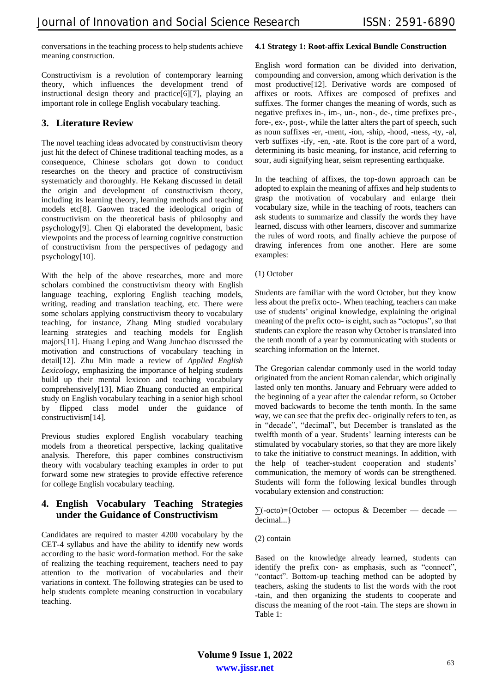conversations in the teaching process to help students achieve meaning construction.

Constructivism is a revolution of contemporary learning theory, which influences the development trend of instructional design theory and practice[6][7], playing an important role in college English vocabulary teaching.

## **3. Literature Review**

The novel teaching ideas advocated by constructivism theory just hit the defect of Chinese traditional teaching modes, as a consequence, Chinese scholars got down to conduct researches on the theory and practice of constructivism systematicly and thoroughly. He Kekang discussed in detail the origin and development of constructivism theory, including its learning theory, learning methods and teaching models etc[8]. Gaowen traced the ideological origin of constructivism on the theoretical basis of philosophy and psychology[9]. Chen Qi elaborated the development, basic viewpoints and the process of learning cognitive construction of constructivism from the perspectives of pedagogy and psychology[10].

With the help of the above researches, more and more scholars combined the constructivism theory with English language teaching, exploring English teaching models, writing, reading and translation teaching, etc. There were some scholars applying constructivism theory to vocabulary teaching, for instance, Zhang Ming studied vocabulary learning strategies and teaching models for English majors[11]. Huang Leping and Wang Junchao discussed the motivation and constructions of vocabulary teaching in detail[12]. Zhu Min made a review of *Applied English Lexicology*, emphasizing the importance of helping students build up their mental lexicon and teaching vocabulary comprehensively[13]. Miao Zhuang conducted an empirical study on English vocabulary teaching in a senior high school by flipped class model under the guidance of constructivism[14].

Previous studies explored English vocabulary teaching models from a theoretical perspective, lacking qualitative analysis. Therefore, this paper combines constructivism theory with vocabulary teaching examples in order to put forward some new strategies to provide effective reference for college English vocabulary teaching.

## **4. English Vocabulary Teaching Strategies under the Guidance of Constructivism**

Candidates are required to master 4200 vocabulary by the CET-4 syllabus and have the ability to identify new words according to the basic word-formation method. For the sake of realizing the teaching requirement, teachers need to pay attention to the motivation of vocabularies and their variations in context. The following strategies can be used to help students complete meaning construction in vocabulary teaching.

#### **4.1 Strategy 1: Root-affix Lexical Bundle Construction**

English word formation can be divided into derivation, compounding and conversion, among which derivation is the most productive[12]. Derivative words are composed of affixes or roots. Affixes are composed of prefixes and suffixes. The former changes the meaning of words, such as negative prefixes in-, im-, un-, non-, de-, time prefixes pre-, fore-, ex-, post-, while the latter alters the part of speech, such as noun suffixes -er, -ment, -ion, -ship, -hood, -ness, -ty, -al, verb suffixes -ify, -en, -ate. Root is the core part of a word, determining its basic meaning, for instance, acid referring to sour, audi signifying hear, seism representing earthquake.

In the teaching of affixes, the top-down approach can be adopted to explain the meaning of affixes and help students to grasp the motivation of vocabulary and enlarge their vocabulary size, while in the teaching of roots, teachers can ask students to summarize and classify the words they have learned, discuss with other learners, discover and summarize the rules of word roots, and finally achieve the purpose of drawing inferences from one another. Here are some examples:

(1) October

Students are familiar with the word October, but they know less about the prefix octo-. When teaching, teachers can make use of students' original knowledge, explaining the original meaning of the prefix octo- is eight, such as "octopus", so that students can explore the reason why October is translated into the tenth month of a year by communicating with students or searching information on the Internet.

The Gregorian calendar commonly used in the world today originated from the ancient Roman calendar, which originally lasted only ten months. January and February were added to the beginning of a year after the calendar reform, so October moved backwards to become the tenth month. In the same way, we can see that the prefix dec- originally refers to ten, as in "decade", "decimal", but December is translated as the twelfth month of a year. Students' learning interests can be stimulated by vocabulary stories, so that they are more likely to take the initiative to construct meanings. In addition, with the help of teacher-student cooperation and students' communication, the memory of words can be strengthened. Students will form the following lexical bundles through vocabulary extension and construction:

 $\Sigma(-octo)=$ {October — octopus & December — decade decimal...}

Based on the knowledge already learned, students can identify the prefix con- as emphasis, such as "connect", "contact". Bottom-up teaching method can be adopted by teachers, asking the students to list the words with the root -tain, and then organizing the students to cooperate and discuss the meaning of the root -tain. The steps are shown in Table 1:

**www.jissr.net Volume 9 Issue 1, 2022**

<sup>(2)</sup> contain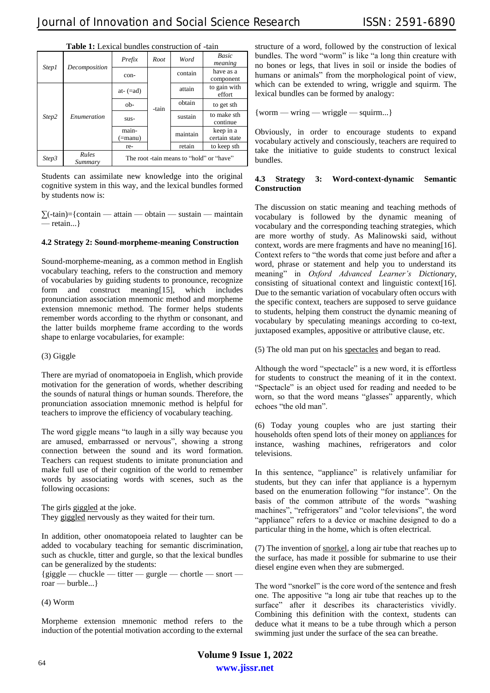| rusic II Denicul Cunules comunication of |                  |                                          |       |          |                            |
|------------------------------------------|------------------|------------------------------------------|-------|----------|----------------------------|
| Step1                                    | Decomposition    | Prefix                                   | Root  | Word     | Basic<br>meaning           |
|                                          |                  | con-                                     | -tain | contain  | have as a<br>component     |
| Step2                                    | Enumeration      | at- $(=ad)$                              |       | attain   | to gain with<br>effort     |
|                                          |                  | ob-                                      |       | obtain   | to get sth                 |
|                                          |                  | sus-                                     |       | sustain  | to make sth<br>continue    |
|                                          |                  | main-<br>(=manu)                         |       | maintain | keep in a<br>certain state |
|                                          |                  | re-                                      |       | retain   | to keep sth                |
| Step3                                    | Rules<br>Summary | The root -tain means to "hold" or "have" |       |          |                            |

**Table 1:** Lexical bundles construction of -tain

Students can assimilate new knowledge into the original cognitive system in this way, and the lexical bundles formed by students now is:

 $\sum$ (-tain)={contain — attain — obtain — sustain — maintain — retain...}

#### **4.2 Strategy 2: Sound-morpheme-meaning Construction**

Sound-morpheme-meaning, as a common method in English vocabulary teaching, refers to the construction and memory of vocabularies by guiding students to pronounce, recognize form and construct meaning[15], which includes pronunciation association mnemonic method and morpheme extension mnemonic method. The former helps students remember words according to the rhythm or consonant, and the latter builds morpheme frame according to the words shape to enlarge vocabularies, for example:

#### (3) Giggle

There are myriad of onomatopoeia in English, which provide motivation for the generation of words, whether describing the sounds of natural things or human sounds. Therefore, the pronunciation association mnemonic method is helpful for teachers to improve the efficiency of vocabulary teaching.

The word giggle means "to laugh in a silly way because you are amused, embarrassed or nervous", showing a strong connection between the sound and its word formation. Teachers can request students to imitate pronunciation and make full use of their cognition of the world to remember words by associating words with scenes, such as the following occasions:

The girls giggled at the joke. They giggled nervously as they waited for their turn.

In addition, other onomatopoeia related to laughter can be added to vocabulary teaching for semantic discrimination, such as chuckle, titter and gurgle, so that the lexical bundles can be generalized by the students:

 ${giggle - chuckle - titter - gurgle - chortle - short -}$ roar — burble...}

(4) Worm

Morpheme extension mnemonic method refers to the induction of the potential motivation according to the external structure of a word, followed by the construction of lexical bundles. The word "worm" is like "a long thin creature with no bones or legs, that lives in soil or inside the bodies of humans or animals" from the morphological point of view, which can be extended to wring, wriggle and squirm. The lexical bundles can be formed by analogy:

{worm — wring — wriggle — squirm...}

Obviously, in order to encourage students to expand vocabulary actively and consciously, teachers are required to take the initiative to guide students to construct lexical bundles.

#### **4.3 Strategy 3: Word-context-dynamic Semantic Construction**

The discussion on static meaning and teaching methods of vocabulary is followed by the dynamic meaning of vocabulary and the corresponding teaching strategies, which are more worthy of study. As Malinowski said, without context, words are mere fragments and have no meaning[16]. Context refers to "the words that come just before and after a word, phrase or statement and help you to understand its meaning" in *Oxford Advanced Learner's Dictionary*, consisting of situational context and linguistic context[16]. Due to the semantic variation of vocabulary often occurs with the specific context, teachers are supposed to serve guidance to students, helping them construct the dynamic meaning of vocabulary by speculating meanings according to co-text, juxtaposed examples, appositive or attributive clause, etc.

(5) The old man put on his spectacles and began to read.

Although the word "spectacle" is a new word, it is effortless for students to construct the meaning of it in the context. "Spectacle" is an object used for reading and needed to be worn, so that the word means "glasses" apparently, which echoes "the old man".

(6) Today young couples who are just starting their households often spend lots of their money on appliances for instance, washing machines, refrigerators and color televisions.

In this sentence, "appliance" is relatively unfamiliar for students, but they can infer that appliance is a hypernym based on the enumeration following "for instance". On the basis of the common attribute of the words "washing machines", "refrigerators" and "color televisions", the word "appliance" refers to a device or machine designed to do a particular thing in the home, which is often electrical.

(7) The invention of snorkel, a long air tube that reaches up to the surface, has made it possible for submarine to use their diesel engine even when they are submerged.

The word "snorkel" is the core word of the sentence and fresh one. The appositive "a long air tube that reaches up to the surface" after it describes its characteristics vividly. Combining this definition with the context, students can deduce what it means to be a tube through which a person swimming just under the surface of the sea can breathe.

**www.jissr.net Volume 9 Issue 1, 2022**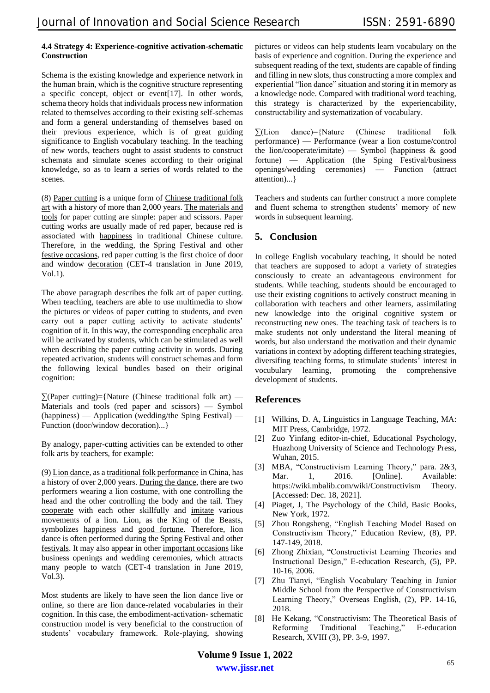#### **4.4 Strategy 4: Experience-cognitive activation-schematic Construction**

Schema is the existing knowledge and experience network in the human brain, which is the cognitive structure representing a specific concept, object or event[17]. In other words, schema theory holds that individuals process new information related to themselves according to their existing self-schemas and form a general understanding of themselves based on their previous experience, which is of great guiding significance to English vocabulary teaching. In the teaching of new words, teachers ought to assist students to construct schemata and simulate scenes according to their original knowledge, so as to learn a series of words related to the scenes.

(8) Paper cutting is a unique form of Chinese traditional folk art with a history of more than 2,000 years. The materials and tools for paper cutting are simple: paper and scissors. Paper cutting works are usually made of red paper, because red is associated with happiness in traditional Chinese culture. Therefore, in the wedding, the Spring Festival and other festive occasions, red paper cutting is the first choice of door and window decoration (CET-4 translation in June 2019, Vol.1).

The above paragraph describes the folk art of paper cutting. When teaching, teachers are able to use multimedia to show the pictures or videos of paper cutting to students, and even carry out a paper cutting activity to activate students' cognition of it. In this way, the corresponding encephalic area will be activated by students, which can be stimulated as well when describing the paper cutting activity in words. During repeated activation, students will construct schemas and form the following lexical bundles based on their original cognition:

 $\sum (Paper cutting) = \{ Nature (Chinese traditional folk art)$  — Materials and tools (red paper and scissors) — Symbol (happiness) — Application (wedding/the Sping Festival) — Function (door/window decoration)...}

By analogy, paper-cutting activities can be extended to other folk arts by teachers, for example:

(9) Lion dance, as a traditional folk performance in China, has a history of over 2,000 years. During the dance, there are two performers wearing a lion costume, with one controlling the head and the other controlling the body and the tail. They cooperate with each other skillfully and imitate various movements of a lion. Lion, as the King of the Beasts, symbolizes happiness and good fortune. Therefore, lion dance is often performed during the Spring Festival and other festivals. It may also appear in other important occasions like business openings and wedding ceremonies, which attracts many people to watch (CET-4 translation in June 2019, Vol.3).

Most students are likely to have seen the lion dance live or online, so there are lion dance-related vocabularies in their cognition. In this case, the embodiment-activation- schematic construction model is very beneficial to the construction of students' vocabulary framework. Role-playing, showing

pictures or videos can help students learn vocabulary on the basis of experience and cognition. During the experience and subsequent reading of the text, students are capable of finding and filling in new slots, thus constructing a more complex and experiential "lion dance" situation and storing it in memory as a knowledge node. Compared with traditional word teaching, this strategy is characterized by the experiencability, constructability and systematization of vocabulary.

 $\Sigma$ (Lion dance)={Nature (Chinese traditional folk performance) — Performance (wear a lion costume/control the lion/cooperate/imitate) — Symbol (happiness & good fortune) — Application (the Sping Festival/business openings/wedding ceremonies) — Function (attract attention)...}

Teachers and students can further construct a more complete and fluent schema to strengthen students' memory of new words in subsequent learning.

# **5. Conclusion**

In college English vocabulary teaching, it should be noted that teachers are supposed to adopt a variety of strategies consciously to create an advantageous environment for students. While teaching, students should be encouraged to use their existing cognitions to actively construct meaning in collaboration with teachers and other learners, assimilating new knowledge into the original cognitive system or reconstructing new ones. The teaching task of teachers is to make students not only understand the literal meaning of words, but also understand the motivation and their dynamic variations in context by adopting different teaching strategies, diversifing teaching forms, to stimulate students' interest in vocubulary learning, promoting the comprehensive development of students.

### **References**

- [1] Wilkins, D. A, Linguistics in Language Teaching, MA: MIT Press, Cambridge, 1972.
- [2] Zuo Yinfang editor-in-chief, Educational Psychology, Huazhong University of Science and Technology Press, Wuhan, 2015.
- [3] MBA, "Constructivism Learning Theory," para. 2&3, Mar. 1, 2016. [Online]. Available: [https://wiki.mbalib.com/wiki/Constructivism Theory.](http://nl1.vnunet.com/news/1116995) [Accessed: Dec. 18, 2021].
- [4] Piaget, J, The Psychology of the Child, Basic Books, New York, 1972.
- [5] Zhou Rongsheng, "English Teaching Model Based on Constructivism Theory," Education Review, (8), PP. 147-149, 2018.
- [6] Zhong Zhixian, "Constructivist Learning Theories and Instructional Design," E-education Research, (5), PP. 10-16, 2006.
- [7] Zhu Tianyi, "English Vocabulary Teaching in Junior Middle School from the Perspective of Constructivism Learning Theory," Overseas English, (2), PP. 14-16, 2018.
- [8] He Kekang, "Constructivism: The Theoretical Basis of Reforming Traditional Teaching," E-education Research, XVIII (3), PP. 3-9, 1997.

**www.jissr.net Volume 9 Issue 1, 2022**